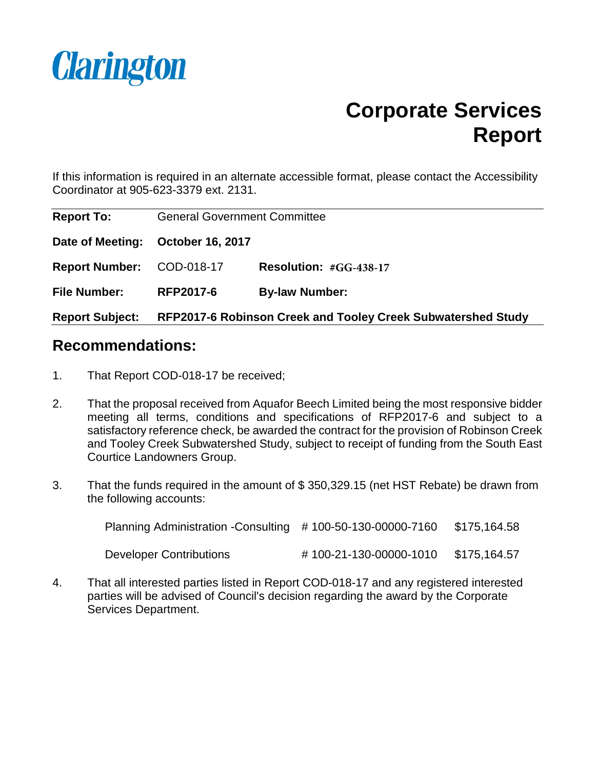

## **Corporate Services Report**

If this information is required in an alternate accessible format, please contact the Accessibility Coordinator at 905-623-3379 ext. 2131.

| <b>Report To:</b>         | <b>General Government Committee</b> |                                                              |
|---------------------------|-------------------------------------|--------------------------------------------------------------|
| Date of Meeting:          | <b>October 16, 2017</b>             |                                                              |
| Report Number: COD-018-17 |                                     | Resolution: #GG-438-17                                       |
| <b>File Number:</b>       | <b>RFP2017-6</b>                    | <b>By-law Number:</b>                                        |
| <b>Report Subject:</b>    |                                     | RFP2017-6 Robinson Creek and Tooley Creek Subwatershed Study |

### **Recommendations:**

- 1. That Report COD-018-17 be received;
- 2. That the proposal received from Aquafor Beech Limited being the most responsive bidder meeting all terms, conditions and specifications of RFP2017-6 and subject to a satisfactory reference check, be awarded the contract for the provision of Robinson Creek and Tooley Creek Subwatershed Study, subject to receipt of funding from the South East Courtice Landowners Group.
- 3. That the funds required in the amount of \$ 350,329.15 (net HST Rebate) be drawn from the following accounts:

| Planning Administration - Consulting #100-50-130-00000-7160 |                        | \$175,164.58 |
|-------------------------------------------------------------|------------------------|--------------|
| Developer Contributions                                     | #100-21-130-00000-1010 | \$175,164.57 |

4. That all interested parties listed in Report COD-018-17 and any registered interested parties will be advised of Council's decision regarding the award by the Corporate Services Department.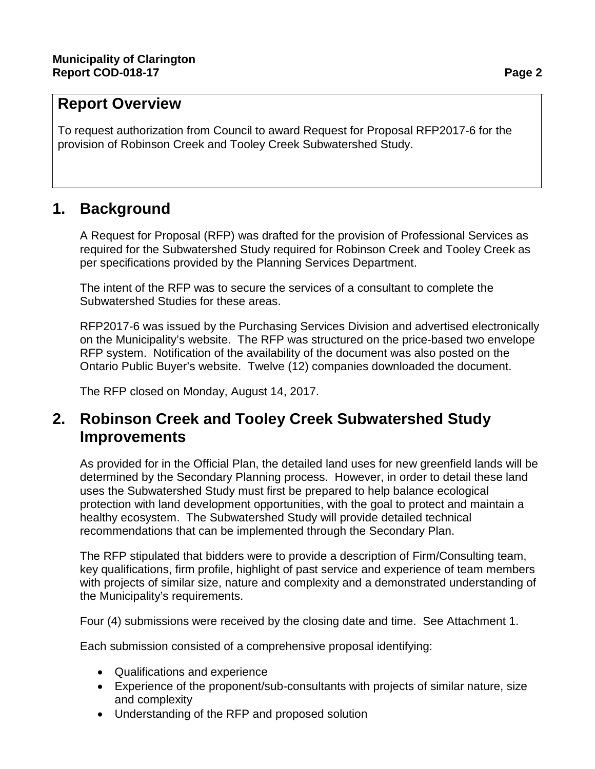## **Report Overview**

To request authorization from Council to award Request for Proposal RFP2017-6 for the provision of Robinson Creek and Tooley Creek Subwatershed Study.

## **1. Background**

A Request for Proposal (RFP) was drafted for the provision of Professional Services as required for the Subwatershed Study required for Robinson Creek and Tooley Creek as per specifications provided by the Planning Services Department.

The intent of the RFP was to secure the services of a consultant to complete the Subwatershed Studies for these areas.

RFP2017-6 was issued by the Purchasing Services Division and advertised electronically on the Municipality's website. The RFP was structured on the price-based two envelope RFP system. Notification of the availability of the document was also posted on the Ontario Public Buyer's website. Twelve (12) companies downloaded the document.

The RFP closed on Monday, August 14, 2017.

## **2. Robinson Creek and Tooley Creek Subwatershed Study Improvements**

As provided for in the Official Plan, the detailed land uses for new greenfield lands will be determined by the Secondary Planning process. However, in order to detail these land uses the Subwatershed Study must first be prepared to help balance ecological protection with land development opportunities, with the goal to protect and maintain a healthy ecosystem. The Subwatershed Study will provide detailed technical recommendations that can be implemented through the Secondary Plan.

The RFP stipulated that bidders were to provide a description of Firm/Consulting team, key qualifications, firm profile, highlight of past service and experience of team members with projects of similar size, nature and complexity and a demonstrated understanding of the Municipality's requirements.

Four (4) submissions were received by the closing date and time. See Attachment 1.

Each submission consisted of a comprehensive proposal identifying:

- Qualifications and experience
- Experience of the proponent/sub-consultants with projects of similar nature, size and complexity
- Understanding of the RFP and proposed solution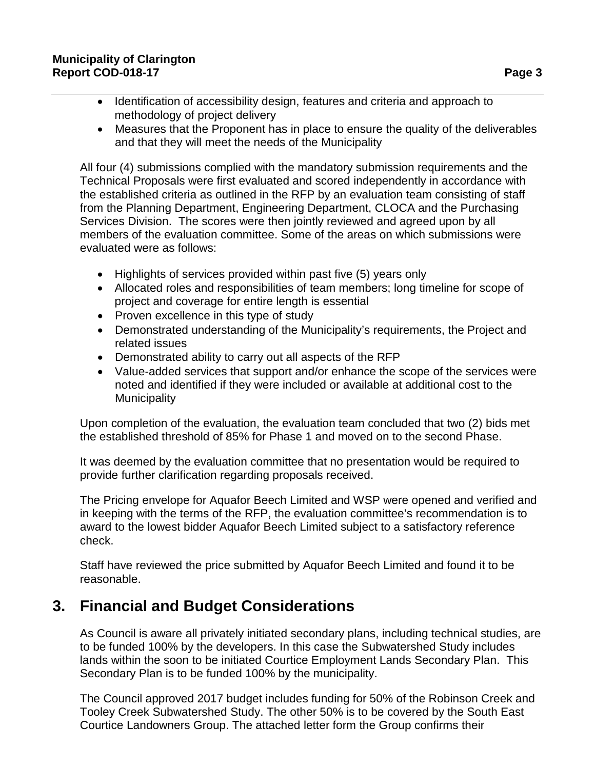- Identification of accessibility design, features and criteria and approach to methodology of project delivery
- Measures that the Proponent has in place to ensure the quality of the deliverables and that they will meet the needs of the Municipality

All four (4) submissions complied with the mandatory submission requirements and the Technical Proposals were first evaluated and scored independently in accordance with the established criteria as outlined in the RFP by an evaluation team consisting of staff from the Planning Department, Engineering Department, CLOCA and the Purchasing Services Division. The scores were then jointly reviewed and agreed upon by all members of the evaluation committee. Some of the areas on which submissions were evaluated were as follows:

- Highlights of services provided within past five (5) years only
- Allocated roles and responsibilities of team members; long timeline for scope of project and coverage for entire length is essential
- Proven excellence in this type of study
- Demonstrated understanding of the Municipality's requirements, the Project and related issues
- Demonstrated ability to carry out all aspects of the RFP
- Value-added services that support and/or enhance the scope of the services were noted and identified if they were included or available at additional cost to the **Municipality**

Upon completion of the evaluation, the evaluation team concluded that two (2) bids met the established threshold of 85% for Phase 1 and moved on to the second Phase.

It was deemed by the evaluation committee that no presentation would be required to provide further clarification regarding proposals received.

The Pricing envelope for Aquafor Beech Limited and WSP were opened and verified and in keeping with the terms of the RFP, the evaluation committee's recommendation is to award to the lowest bidder Aquafor Beech Limited subject to a satisfactory reference check.

Staff have reviewed the price submitted by Aquafor Beech Limited and found it to be reasonable.

## **3. Financial and Budget Considerations**

As Council is aware all privately initiated secondary plans, including technical studies, are to be funded 100% by the developers. In this case the Subwatershed Study includes lands within the soon to be initiated Courtice Employment Lands Secondary Plan. This Secondary Plan is to be funded 100% by the municipality.

The Council approved 2017 budget includes funding for 50% of the Robinson Creek and Tooley Creek Subwatershed Study. The other 50% is to be covered by the South East Courtice Landowners Group. The attached letter form the Group confirms their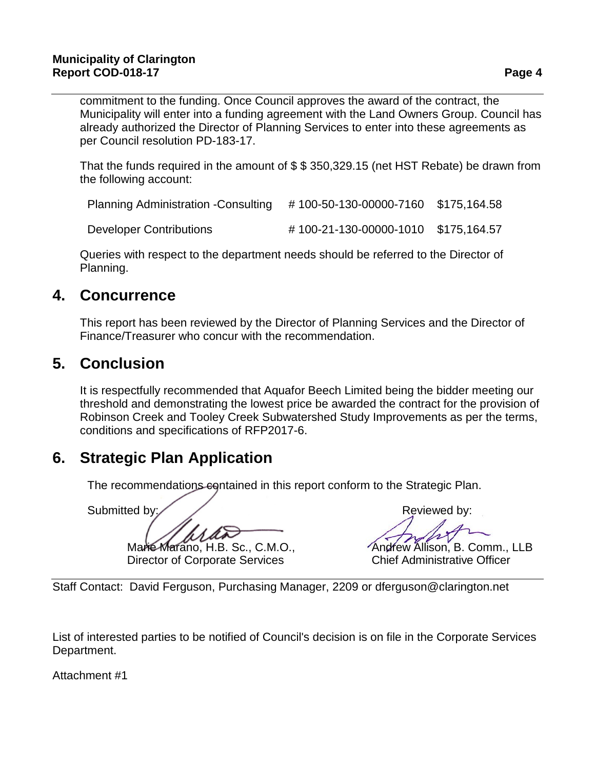#### **Municipality of Clarington Report COD-018-17 Page 4**

commitment to the funding. Once Council approves the award of the contract, the Municipality will enter into a funding agreement with the Land Owners Group. Council has already authorized the Director of Planning Services to enter into these agreements as per Council resolution PD-183-17.

That the funds required in the amount of \$ \$ 350,329.15 (net HST Rebate) be drawn from the following account:

| <b>Planning Administration -Consulting</b> | #100-50-130-00000-7160 \$175,164.58 |  |
|--------------------------------------------|-------------------------------------|--|
| Developer Contributions                    | #100-21-130-00000-1010 \$175,164.57 |  |

Queries with respect to the department needs should be referred to the Director of Planning.

## **4. Concurrence**

This report has been reviewed by the Director of Planning Services and the Director of Finance/Treasurer who concur with the recommendation.

## **5. Conclusion**

It is respectfully recommended that Aquafor Beech Limited being the bidder meeting our threshold and demonstrating the lowest price be awarded the contract for the provision of Robinson Creek and Tooley Creek Subwatershed Study Improvements as per the terms, conditions and specifications of RFP2017-6.

## **6. Strategic Plan Application**

The recommendations equitained in this report conform to the Strategic Plan.

Marie Marano, H.B. Sc., C.M.O., *Andrew Allison*, B. Comm., LLB

Submitted by: Submitted by: Submitted by: Reviewed by:

Director of Corporate Services Chief Administrative Officer

Staff Contact: David Ferguson, Purchasing Manager, 2209 or dferguson@clarington.net

List of interested parties to be notified of Council's decision is on file in the Corporate Services Department.

Attachment #1